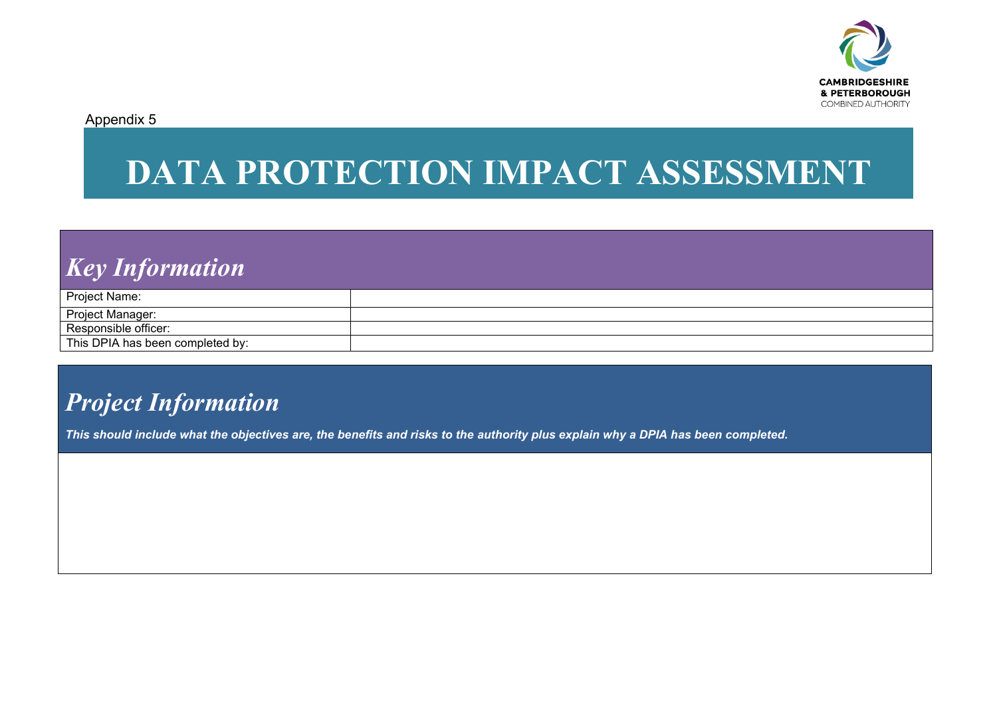

Appendix 5

# **DATA PROTECTION IMPACT ASSESSMENT**

## *Key Information*

| Project Name:                    |  |
|----------------------------------|--|
|                                  |  |
| <b>Project Manager:</b>          |  |
| Responsible officer:             |  |
| This DPIA has been completed by: |  |

## *Project Information*

*This should include what the objectives are, the benefits and risks to the authority plus explain why a DPIA has been completed.*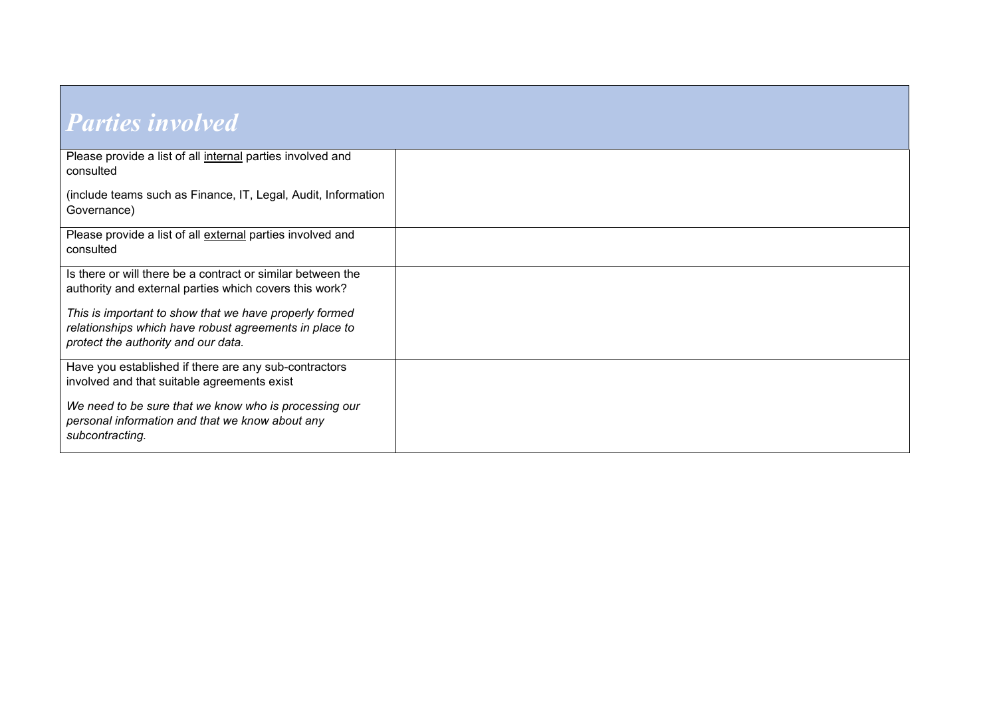| <b>Parties involved</b>                                                                                                                                 |  |
|---------------------------------------------------------------------------------------------------------------------------------------------------------|--|
| Please provide a list of all internal parties involved and<br>consulted                                                                                 |  |
| (include teams such as Finance, IT, Legal, Audit, Information<br>Governance)                                                                            |  |
| Please provide a list of all external parties involved and<br>consulted                                                                                 |  |
| Is there or will there be a contract or similar between the<br>authority and external parties which covers this work?                                   |  |
| This is important to show that we have properly formed<br>relationships which have robust agreements in place to<br>protect the authority and our data. |  |
| Have you established if there are any sub-contractors<br>involved and that suitable agreements exist                                                    |  |
| We need to be sure that we know who is processing our<br>personal information and that we know about any<br>subcontracting.                             |  |

<u> 1989 - Johann Stein, marwolaethau a bh</u>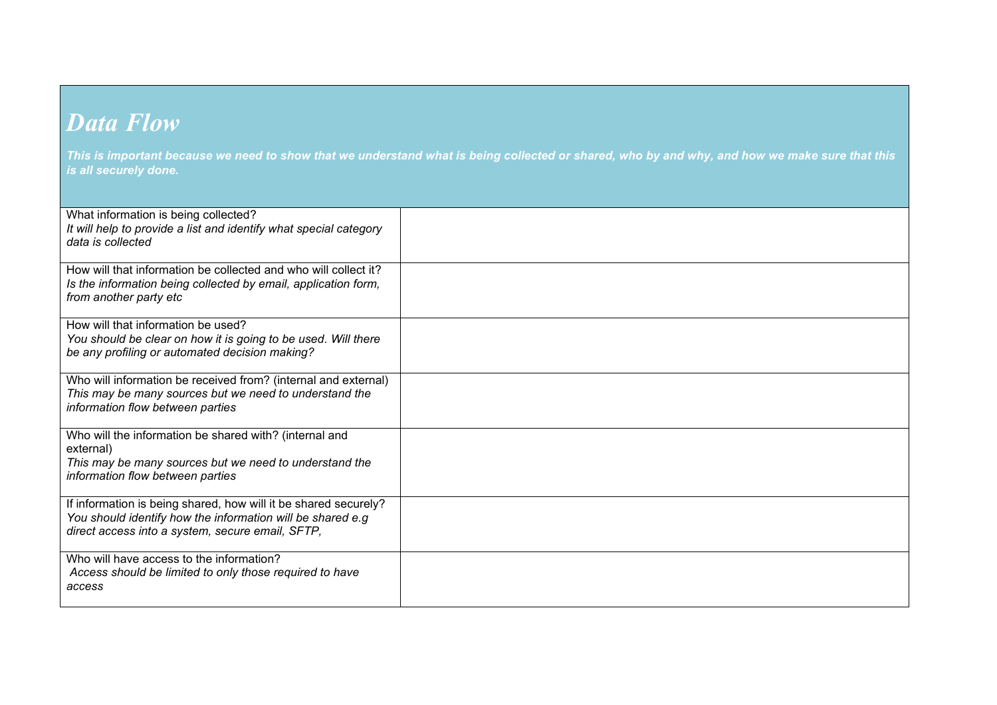#### *Data Flow*

*This is important because we need to show that we understand what is being collected or shared, who by and why, and how we make sure that this is all securely done.* 

| What information is being collected?<br>It will help to provide a list and identify what special category<br>data is collected                                                    |  |
|-----------------------------------------------------------------------------------------------------------------------------------------------------------------------------------|--|
| How will that information be collected and who will collect it?<br>Is the information being collected by email, application form,<br>from another party etc                       |  |
| How will that information be used?<br>You should be clear on how it is going to be used. Will there<br>be any profiling or automated decision making?                             |  |
| Who will information be received from? (internal and external)<br>This may be many sources but we need to understand the<br>information flow between parties                      |  |
| Who will the information be shared with? (internal and<br>external)<br>This may be many sources but we need to understand the<br>information flow between parties                 |  |
| If information is being shared, how will it be shared securely?<br>You should identify how the information will be shared e.g<br>direct access into a system, secure email, SFTP, |  |
| Who will have access to the information?<br>Access should be limited to only those required to have<br>access                                                                     |  |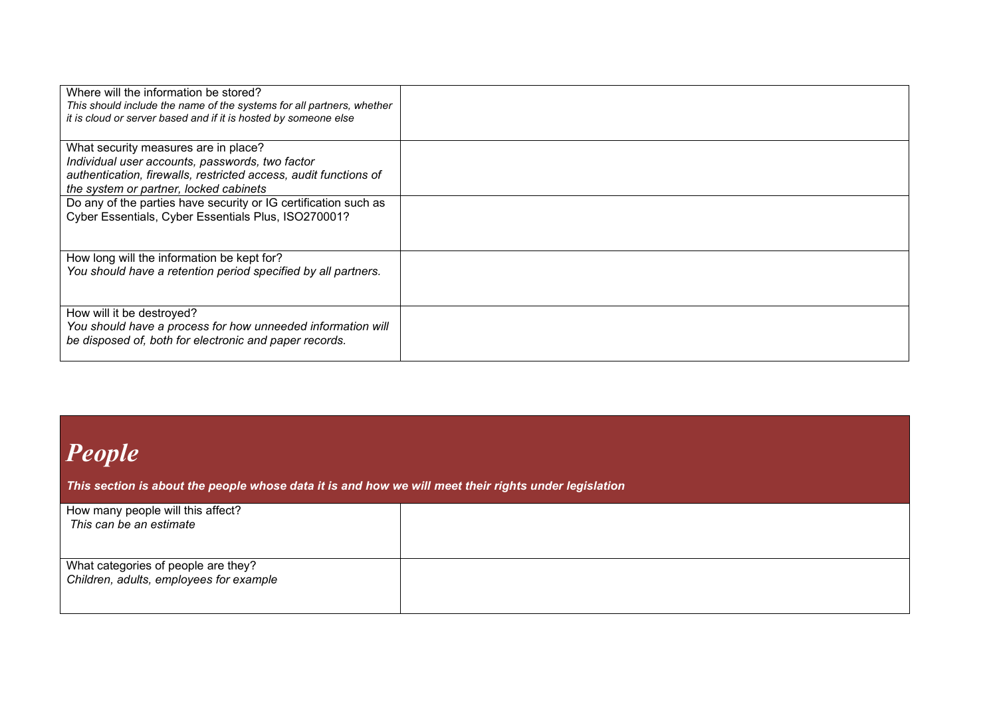| Where will the information be stored?<br>This should include the name of the systems for all partners, whether<br>it is cloud or server based and if it is hosted by someone else                     |  |
|-------------------------------------------------------------------------------------------------------------------------------------------------------------------------------------------------------|--|
| What security measures are in place?<br>Individual user accounts, passwords, two factor<br>authentication, firewalls, restricted access, audit functions of<br>the system or partner, locked cabinets |  |
| Do any of the parties have security or IG certification such as<br>Cyber Essentials, Cyber Essentials Plus, ISO270001?                                                                                |  |
| How long will the information be kept for?<br>You should have a retention period specified by all partners.                                                                                           |  |
| How will it be destroyed?<br>You should have a process for how unneeded information will<br>be disposed of, both for electronic and paper records.                                                    |  |

# *People*

*This section is about the people whose data it is and how we will meet their rights under legislation* 

| How many people will this affect?<br>This can be an estimate                   |  |
|--------------------------------------------------------------------------------|--|
| What categories of people are they?<br>Children, adults, employees for example |  |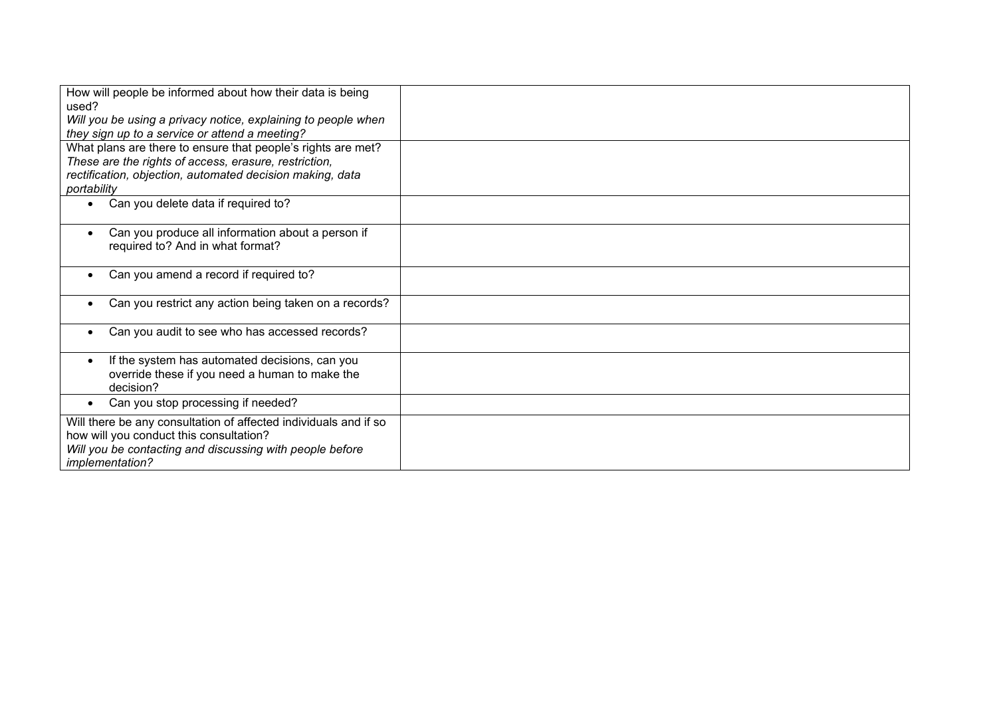| How will people be informed about how their data is being<br>used?<br>Will you be using a privacy notice, explaining to people when |  |
|-------------------------------------------------------------------------------------------------------------------------------------|--|
| they sign up to a service or attend a meeting?                                                                                      |  |
| What plans are there to ensure that people's rights are met?<br>These are the rights of access, erasure, restriction,               |  |
| rectification, objection, automated decision making, data                                                                           |  |
| portability                                                                                                                         |  |
| Can you delete data if required to?<br>$\bullet$                                                                                    |  |
| Can you produce all information about a person if<br>$\bullet$<br>required to? And in what format?                                  |  |
|                                                                                                                                     |  |
| Can you amend a record if required to?<br>$\bullet$                                                                                 |  |
| Can you restrict any action being taken on a records?<br>$\bullet$                                                                  |  |
| Can you audit to see who has accessed records?                                                                                      |  |
| If the system has automated decisions, can you<br>override these if you need a human to make the<br>decision?                       |  |
| Can you stop processing if needed?<br>$\bullet$                                                                                     |  |
| Will there be any consultation of affected individuals and if so<br>how will you conduct this consultation?                         |  |
| Will you be contacting and discussing with people before<br>implementation?                                                         |  |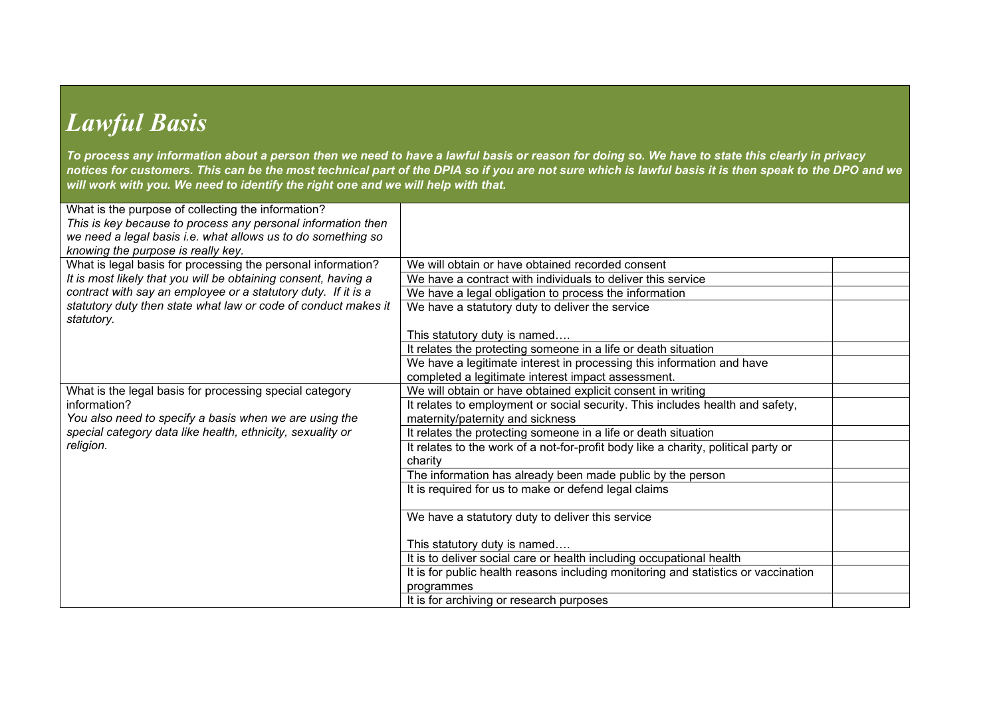## *Lawful Basis*

*To process any information about a person then we need to have a lawful basis or reason for doing so. We have to state this clearly in privacy notices for customers. This can be the most technical part of the DPIA so if you are not sure which is lawful basis it is then speak to the DPO and we will work with you. We need to identify the right one and we will help with that.* 

| What is the purpose of collecting the information?<br>This is key because to process any personal information then |                                                                                               |  |
|--------------------------------------------------------------------------------------------------------------------|-----------------------------------------------------------------------------------------------|--|
| we need a legal basis i.e. what allows us to do something so<br>knowing the purpose is really key.                 |                                                                                               |  |
| What is legal basis for processing the personal information?                                                       | We will obtain or have obtained recorded consent                                              |  |
| It is most likely that you will be obtaining consent, having a                                                     | We have a contract with individuals to deliver this service                                   |  |
| contract with say an employee or a statutory duty. If it is a                                                      | We have a legal obligation to process the information                                         |  |
| statutory duty then state what law or code of conduct makes it<br>statutory.                                       | We have a statutory duty to deliver the service                                               |  |
|                                                                                                                    | This statutory duty is named                                                                  |  |
|                                                                                                                    | It relates the protecting someone in a life or death situation                                |  |
|                                                                                                                    | We have a legitimate interest in processing this information and have                         |  |
|                                                                                                                    | completed a legitimate interest impact assessment.                                            |  |
| What is the legal basis for processing special category                                                            | We will obtain or have obtained explicit consent in writing                                   |  |
| information?                                                                                                       | It relates to employment or social security. This includes health and safety,                 |  |
| You also need to specify a basis when we are using the                                                             | maternity/paternity and sickness                                                              |  |
| special category data like health, ethnicity, sexuality or                                                         | It relates the protecting someone in a life or death situation                                |  |
| religion.                                                                                                          | It relates to the work of a not-for-profit body like a charity, political party or<br>charity |  |
|                                                                                                                    | The information has already been made public by the person                                    |  |
|                                                                                                                    | It is required for us to make or defend legal claims                                          |  |
|                                                                                                                    | We have a statutory duty to deliver this service                                              |  |
|                                                                                                                    | This statutory duty is named                                                                  |  |
|                                                                                                                    | It is to deliver social care or health including occupational health                          |  |
|                                                                                                                    | It is for public health reasons including monitoring and statistics or vaccination            |  |
|                                                                                                                    | programmes                                                                                    |  |
|                                                                                                                    | It is for archiving or research purposes                                                      |  |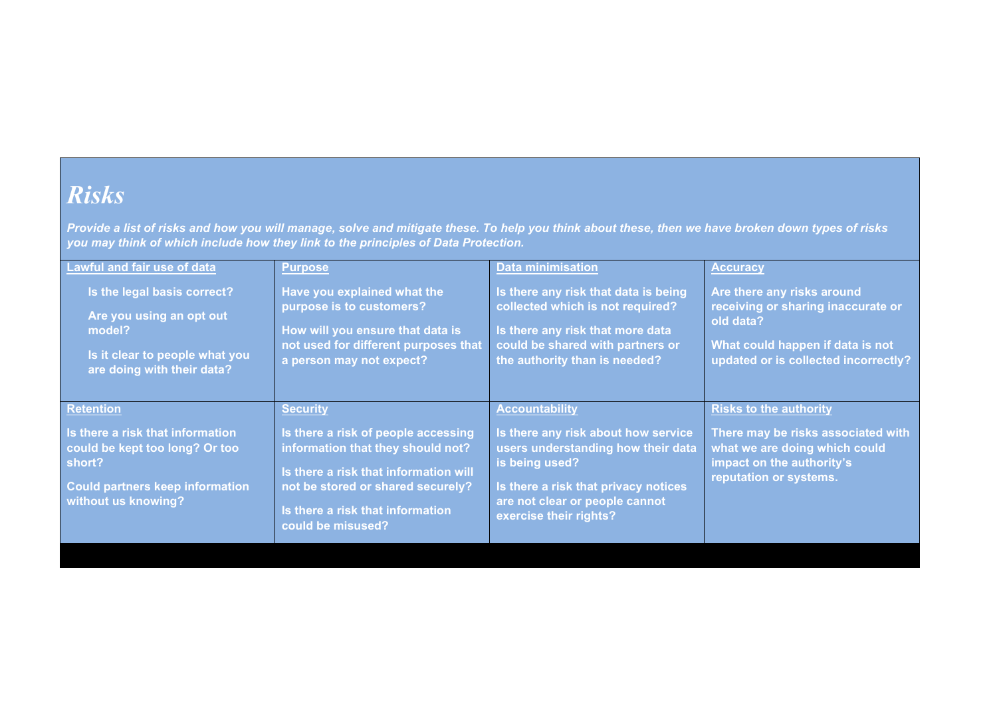#### *Risks*

*Provide a list of risks and how you will manage, solve and mitigate these. To help you think about these, then we have broken down types of risks you may think of which include how they link to the principles of Data Protection.* 

| <b>Lawful and fair use of data</b>                                                                                                                                | <b>Purpose</b>                                                                                                                                                                                                                     | <b>Data minimisation</b>                                                                                                                                                                                                 | <b>Accuracy</b>                                                                                                                                             |
|-------------------------------------------------------------------------------------------------------------------------------------------------------------------|------------------------------------------------------------------------------------------------------------------------------------------------------------------------------------------------------------------------------------|--------------------------------------------------------------------------------------------------------------------------------------------------------------------------------------------------------------------------|-------------------------------------------------------------------------------------------------------------------------------------------------------------|
| Is the legal basis correct?                                                                                                                                       | Have you explained what the                                                                                                                                                                                                        | Is there any risk that data is being                                                                                                                                                                                     | Are there any risks around                                                                                                                                  |
| Are you using an opt out                                                                                                                                          | purpose is to customers?                                                                                                                                                                                                           | collected which is not required?                                                                                                                                                                                         | receiving or sharing inaccurate or                                                                                                                          |
| model?                                                                                                                                                            | How will you ensure that data is                                                                                                                                                                                                   | Is there any risk that more data                                                                                                                                                                                         | old data?                                                                                                                                                   |
| Is it clear to people what you                                                                                                                                    | not used for different purposes that                                                                                                                                                                                               | could be shared with partners or                                                                                                                                                                                         | What could happen if data is not                                                                                                                            |
| are doing with their data?                                                                                                                                        | a person may not expect?                                                                                                                                                                                                           | the authority than is needed?                                                                                                                                                                                            | updated or is collected incorrectly?                                                                                                                        |
| <b>Retention</b><br>Is there a risk that information<br>could be kept too long? Or too<br>short?<br><b>Could partners keep information</b><br>without us knowing? | <b>Security</b><br>Is there a risk of people accessing<br>information that they should not?<br>Is there a risk that information will<br>not be stored or shared securely?<br>Is there a risk that information<br>could be misused? | <b>Accountability</b><br>Is there any risk about how service<br>users understanding how their data<br>is being used?<br>Is there a risk that privacy notices<br>are not clear or people cannot<br>exercise their rights? | <b>Risks to the authority</b><br>There may be risks associated with<br>what we are doing which could<br>impact on the authority's<br>reputation or systems. |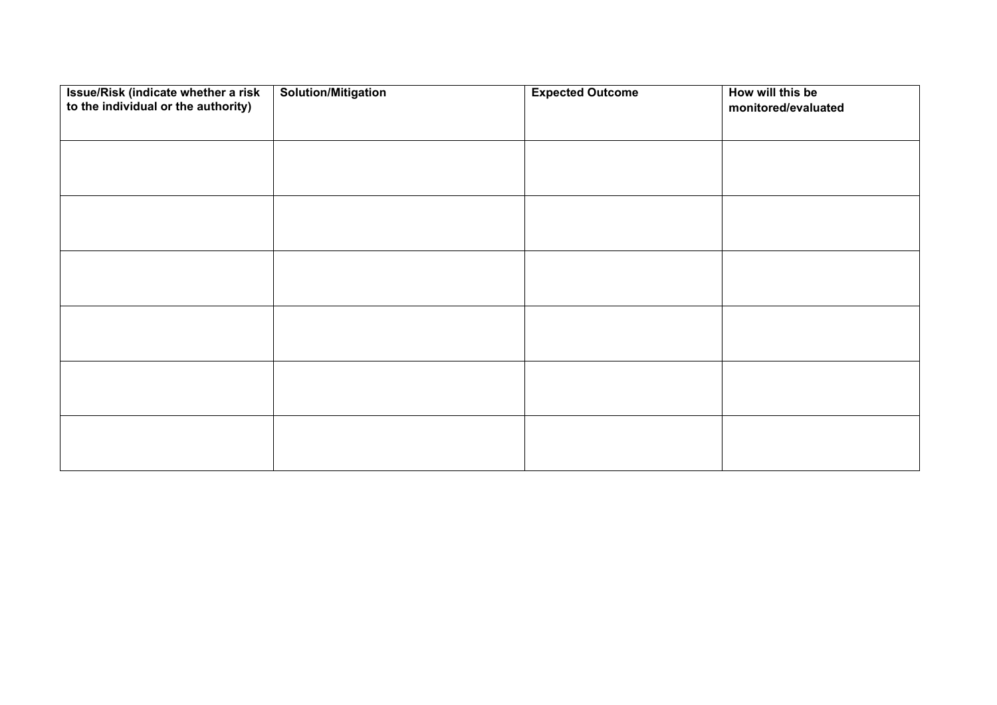| Issue/Risk (indicate whether a risk<br>to the individual or the authority) | <b>Solution/Mitigation</b> | <b>Expected Outcome</b> | How will this be<br>monitored/evaluated |
|----------------------------------------------------------------------------|----------------------------|-------------------------|-----------------------------------------|
|                                                                            |                            |                         |                                         |
|                                                                            |                            |                         |                                         |
|                                                                            |                            |                         |                                         |
|                                                                            |                            |                         |                                         |
|                                                                            |                            |                         |                                         |
|                                                                            |                            |                         |                                         |
|                                                                            |                            |                         |                                         |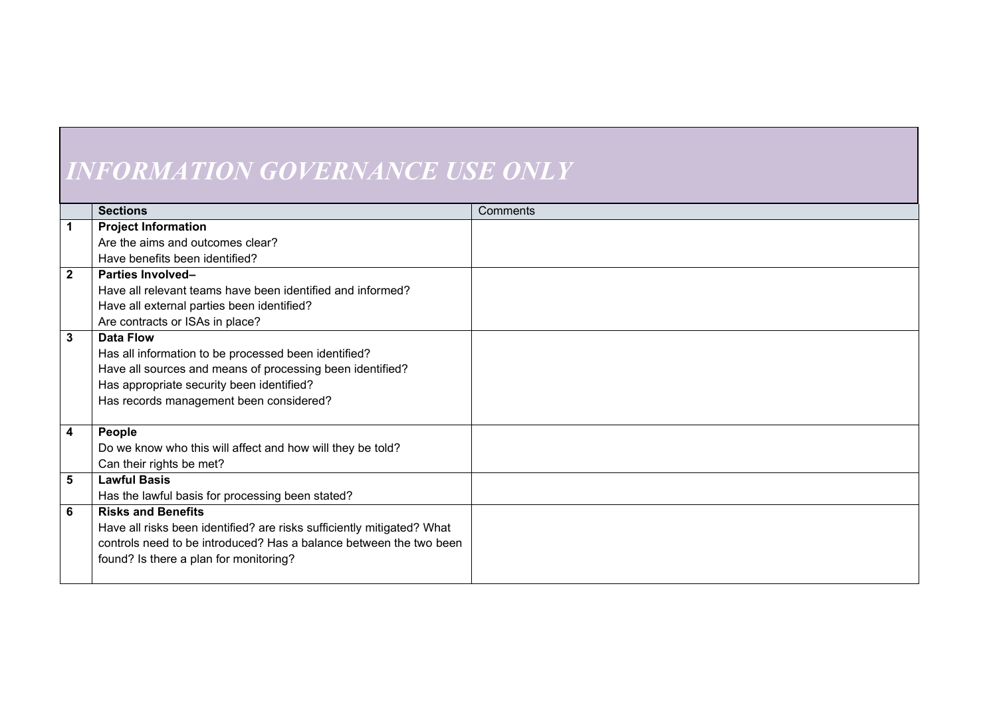# *INFORMATION GOVERNANCE USE ONLY*

|                         | <b>Sections</b>                                                        | Comments |
|-------------------------|------------------------------------------------------------------------|----------|
| $\overline{1}$          | <b>Project Information</b>                                             |          |
|                         | Are the aims and outcomes clear?                                       |          |
|                         | Have benefits been identified?                                         |          |
| $\overline{2}$          | <b>Parties Involved-</b>                                               |          |
|                         | Have all relevant teams have been identified and informed?             |          |
|                         | Have all external parties been identified?                             |          |
|                         | Are contracts or ISAs in place?                                        |          |
| $\overline{\mathbf{3}}$ | <b>Data Flow</b>                                                       |          |
|                         | Has all information to be processed been identified?                   |          |
|                         | Have all sources and means of processing been identified?              |          |
|                         | Has appropriate security been identified?                              |          |
|                         | Has records management been considered?                                |          |
|                         |                                                                        |          |
| $\overline{\mathbf{4}}$ | People                                                                 |          |
|                         | Do we know who this will affect and how will they be told?             |          |
|                         | Can their rights be met?                                               |          |
| $5\phantom{1}$          | <b>Lawful Basis</b>                                                    |          |
|                         | Has the lawful basis for processing been stated?                       |          |
| $6\phantom{1}$          | <b>Risks and Benefits</b>                                              |          |
|                         | Have all risks been identified? are risks sufficiently mitigated? What |          |
|                         | controls need to be introduced? Has a balance between the two been     |          |
|                         | found? Is there a plan for monitoring?                                 |          |
|                         |                                                                        |          |